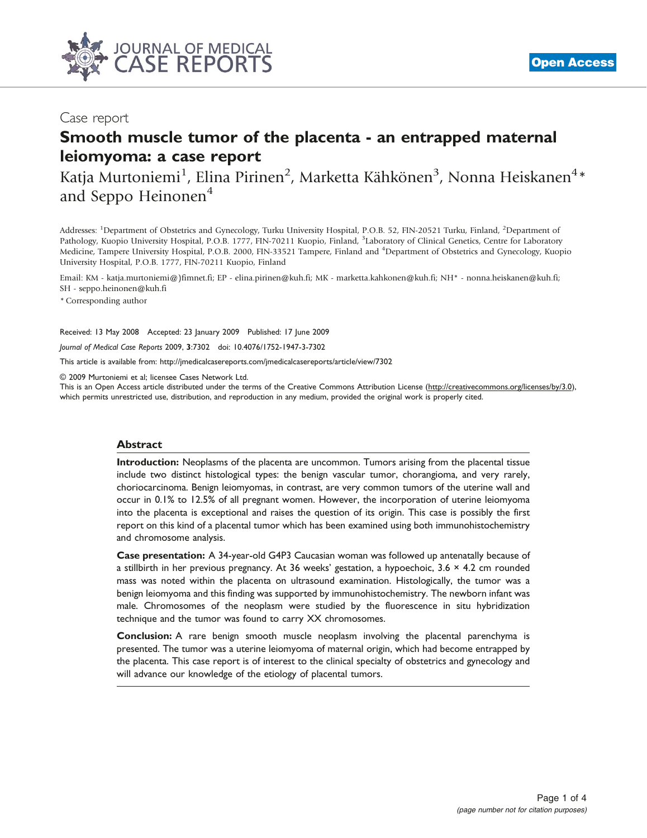

### Case report

## Smooth muscle tumor of the placenta - an entrapped maternal leiomyoma: a case report

Katja Murtoniemi<sup>1</sup>, Elina Pirinen<sup>2</sup>, Marketta Kähkönen<sup>3</sup>, Nonna Heiskanen<sup>4</sup>\* and Seppo Heinonen<sup>4</sup>

Addresses: <sup>1</sup>Department of Obstetrics and Gynecology, Turku University Hospital, P.O.B. 52, FIN-20521 Turku, Finland, <sup>2</sup>Department of Pathology, Kuopio University Hospital, P.O.B. 1777, FIN-70211 Kuopio, Finland, <sup>3</sup>Laboratory of Clinical Genetics, Centre for Laboratory Medicine, Tampere University Hospital, P.O.B. 2000, FIN-33521 Tampere, Finland and <sup>4</sup>Department of Obstetrics and Gynecology, Kuopio University Hospital, P.O.B. 1777, FIN-70211 Kuopio, Finland

Email: KM - katja.murtoniemi@)fimnet.fi; EP - elina.pirinen@kuh.fi; MK - marketta.kahkonen@kuh.fi; NH\* - nonna.heiskanen@kuh.fi; SH - seppo.heinonen@kuh.fi

\* Corresponding author

Received: 13 May 2008 Accepted: 23 January 2009 Published: 17 June 2009

Journal of Medical Case Reports 2009, 3:7302 doi: 10.4076/1752-1947-3-7302

This article is available from:<http://jmedicalcasereports.com/jmedicalcasereports/article/view/7302>

© 2009 Murtoniemi et al; licensee Cases Network Ltd.

This is an Open Access article distributed under the terms of the Creative Commons Attribution License [\(http://creativecommons.org/licenses/by/3.0\)](http://creativecommons.org/licenses/by/3.0), which permits unrestricted use, distribution, and reproduction in any medium, provided the original work is properly cited.

#### Abstract

Introduction: Neoplasms of the placenta are uncommon. Tumors arising from the placental tissue include two distinct histological types: the benign vascular tumor, chorangioma, and very rarely, choriocarcinoma. Benign leiomyomas, in contrast, are very common tumors of the uterine wall and occur in 0.1% to 12.5% of all pregnant women. However, the incorporation of uterine leiomyoma into the placenta is exceptional and raises the question of its origin. This case is possibly the first report on this kind of a placental tumor which has been examined using both immunohistochemistry and chromosome analysis.

Case presentation: A 34-year-old G4P3 Caucasian woman was followed up antenatally because of a stillbirth in her previous pregnancy. At 36 weeks' gestation, a hypoechoic, 3.6 × 4.2 cm rounded mass was noted within the placenta on ultrasound examination. Histologically, the tumor was a benign leiomyoma and this finding was supported by immunohistochemistry. The newborn infant was male. Chromosomes of the neoplasm were studied by the fluorescence in situ hybridization technique and the tumor was found to carry XX chromosomes.

Conclusion: A rare benign smooth muscle neoplasm involving the placental parenchyma is presented. The tumor was a uterine leiomyoma of maternal origin, which had become entrapped by the placenta. This case report is of interest to the clinical specialty of obstetrics and gynecology and will advance our knowledge of the etiology of placental tumors.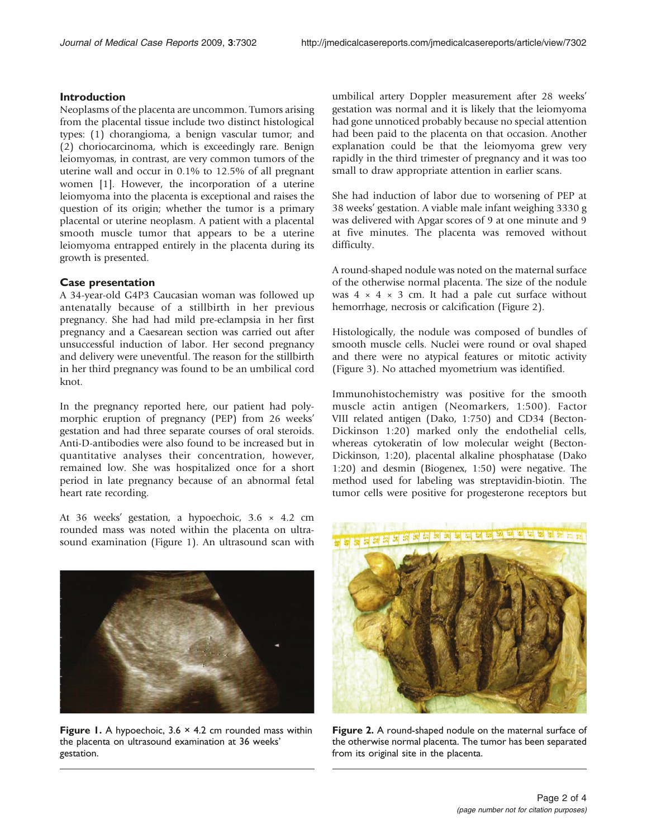#### Introduction

Neoplasms of the placenta are uncommon. Tumors arising from the placental tissue include two distinct histological types: (1) chorangioma, a benign vascular tumor; and (2) choriocarcinoma, which is exceedingly rare. Benign leiomyomas, in contrast, are very common tumors of the uterine wall and occur in 0.1% to 12.5% of all pregnant women [\[1\]](#page-3-0). However, the incorporation of a uterine leiomyoma into the placenta is exceptional and raises the question of its origin; whether the tumor is a primary placental or uterine neoplasm. A patient with a placental smooth muscle tumor that appears to be a uterine leiomyoma entrapped entirely in the placenta during its growth is presented.

#### Case presentation

A 34-year-old G4P3 Caucasian woman was followed up antenatally because of a stillbirth in her previous pregnancy. She had had mild pre-eclampsia in her first pregnancy and a Caesarean section was carried out after unsuccessful induction of labor. Her second pregnancy and delivery were uneventful. The reason for the stillbirth in her third pregnancy was found to be an umbilical cord knot.

In the pregnancy reported here, our patient had polymorphic eruption of pregnancy (PEP) from 26 weeks' gestation and had three separate courses of oral steroids. Anti-D-antibodies were also found to be increased but in quantitative analyses their concentration, however, remained low. She was hospitalized once for a short period in late pregnancy because of an abnormal fetal heart rate recording.

At 36 weeks' gestation, a hypoechoic, 3.6 × 4.2 cm rounded mass was noted within the placenta on ultrasound examination (Figure 1). An ultrasound scan with umbilical artery Doppler measurement after 28 weeks' gestation was normal and it is likely that the leiomyoma had gone unnoticed probably because no special attention had been paid to the placenta on that occasion. Another explanation could be that the leiomyoma grew very rapidly in the third trimester of pregnancy and it was too small to draw appropriate attention in earlier scans.

She had induction of labor due to worsening of PEP at 38 weeks' gestation. A viable male infant weighing 3330 g was delivered with Apgar scores of 9 at one minute and 9 at five minutes. The placenta was removed without difficulty.

A round-shaped nodule was noted on the maternal surface of the otherwise normal placenta. The size of the nodule was  $4 \times 4 \times 3$  cm. It had a pale cut surface without hemorrhage, necrosis or calcification (Figure 2).

Histologically, the nodule was composed of bundles of smooth muscle cells. Nuclei were round or oval shaped and there were no atypical features or mitotic activity ([Figure 3\)](#page-2-0). No attached myometrium was identified.

Immunohistochemistry was positive for the smooth muscle actin antigen (Neomarkers, 1:500). Factor VIII related antigen (Dako, 1:750) and CD34 (Becton-Dickinson 1:20) marked only the endothelial cells, whereas cytokeratin of low molecular weight (Becton-Dickinson, 1:20), placental alkaline phosphatase (Dako 1:20) and desmin (Biogenex, 1:50) were negative. The method used for labeling was streptavidin-biotin. The tumor cells were positive for progesterone receptors but



Figure 1. A hypoechoic,  $3.6 \times 4.2$  cm rounded mass within the placenta on ultrasound examination at 36 weeks' gestation.



Figure 2. A round-shaped nodule on the maternal surface of the otherwise normal placenta. The tumor has been separated from its original site in the placenta.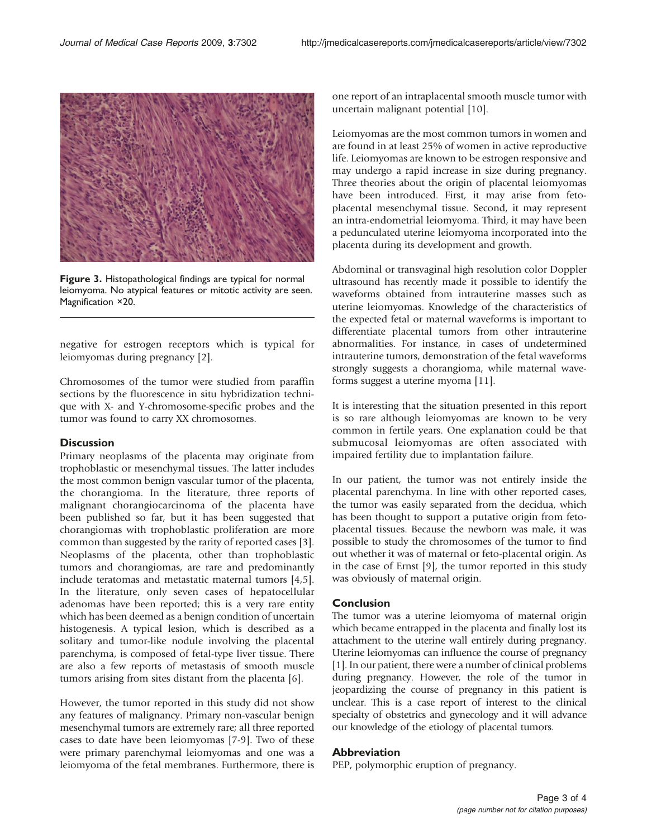<span id="page-2-0"></span>

Figure 3. Histopathological findings are typical for normal leiomyoma. No atypical features or mitotic activity are seen. Magnification ×20.

negative for estrogen receptors which is typical for leiomyomas during pregnancy [\[2\]](#page-3-0).

Chromosomes of the tumor were studied from paraffin sections by the fluorescence in situ hybridization technique with X- and Y-chromosome-specific probes and the tumor was found to carry XX chromosomes.

#### **Discussion**

Primary neoplasms of the placenta may originate from trophoblastic or mesenchymal tissues. The latter includes the most common benign vascular tumor of the placenta, the chorangioma. In the literature, three reports of malignant chorangiocarcinoma of the placenta have been published so far, but it has been suggested that chorangiomas with trophoblastic proliferation are more common than suggested by the rarity of reported cases [[3\]](#page-3-0). Neoplasms of the placenta, other than trophoblastic tumors and chorangiomas, are rare and predominantly include teratomas and metastatic maternal tumors [[4](#page-3-0),[5\]](#page-3-0). In the literature, only seven cases of hepatocellular adenomas have been reported; this is a very rare entity which has been deemed as a benign condition of uncertain histogenesis. A typical lesion, which is described as a solitary and tumor-like nodule involving the placental parenchyma, is composed of fetal-type liver tissue. There are also a few reports of metastasis of smooth muscle tumors arising from sites distant from the placenta [\[6\]](#page-3-0).

However, the tumor reported in this study did not show any features of malignancy. Primary non-vascular benign mesenchymal tumors are extremely rare; all three reported cases to date have been leiomyomas [[7-9](#page-3-0)]. Two of these were primary parenchymal leiomyomas and one was a leiomyoma of the fetal membranes. Furthermore, there is one report of an intraplacental smooth muscle tumor with uncertain malignant potential [\[10\]](#page-3-0).

Leiomyomas are the most common tumors in women and are found in at least 25% of women in active reproductive life. Leiomyomas are known to be estrogen responsive and may undergo a rapid increase in size during pregnancy. Three theories about the origin of placental leiomyomas have been introduced. First, it may arise from fetoplacental mesenchymal tissue. Second, it may represent an intra-endometrial leiomyoma. Third, it may have been a pedunculated uterine leiomyoma incorporated into the placenta during its development and growth.

Abdominal or transvaginal high resolution color Doppler ultrasound has recently made it possible to identify the waveforms obtained from intrauterine masses such as uterine leiomyomas. Knowledge of the characteristics of the expected fetal or maternal waveforms is important to differentiate placental tumors from other intrauterine abnormalities. For instance, in cases of undetermined intrauterine tumors, demonstration of the fetal waveforms strongly suggests a chorangioma, while maternal waveforms suggest a uterine myoma [[11](#page-3-0)].

It is interesting that the situation presented in this report is so rare although leiomyomas are known to be very common in fertile years. One explanation could be that submucosal leiomyomas are often associated with impaired fertility due to implantation failure.

In our patient, the tumor was not entirely inside the placental parenchyma. In line with other reported cases, the tumor was easily separated from the decidua, which has been thought to support a putative origin from fetoplacental tissues. Because the newborn was male, it was possible to study the chromosomes of the tumor to find out whether it was of maternal or feto-placental origin. As in the case of Ernst [\[9\]](#page-3-0), the tumor reported in this study was obviously of maternal origin.

#### Conclusion

The tumor was a uterine leiomyoma of maternal origin which became entrapped in the placenta and finally lost its attachment to the uterine wall entirely during pregnancy. Uterine leiomyomas can influence the course of pregnancy [[1](#page-3-0)]. In our patient, there were a number of clinical problems during pregnancy. However, the role of the tumor in jeopardizing the course of pregnancy in this patient is unclear. This is a case report of interest to the clinical specialty of obstetrics and gynecology and it will advance our knowledge of the etiology of placental tumors.

#### Abbreviation

PEP, polymorphic eruption of pregnancy.